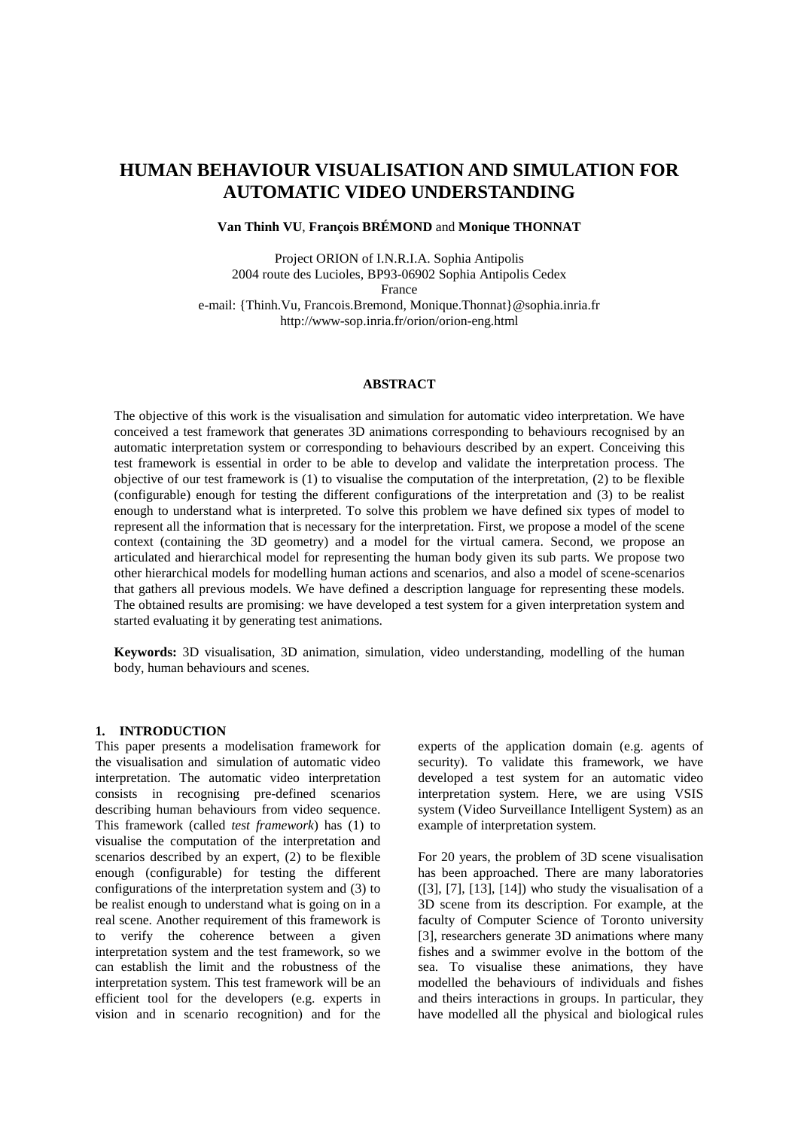# **HUMAN BEHAVIOUR VISUALISATION AND SIMULATION FOR AUTOMATIC VIDEO UNDERSTANDING**

## **Van Thinh VU**, **François BRÉMOND** and **Monique THONNAT**

Project ORION of I.N.R.I.A. Sophia Antipolis 2004 route des Lucioles, BP93-06902 Sophia Antipolis Cedex France

e-mail: {Thinh.Vu, Francois.Bremond, Monique.Thonnat}@sophia.inria.fr http://www-sop.inria.fr/orion/orion-eng.html

#### **ABSTRACT**

The objective of this work is the visualisation and simulation for automatic video interpretation. We have conceived a test framework that generates 3D animations corresponding to behaviours recognised by an automatic interpretation system or corresponding to behaviours described by an expert. Conceiving this test framework is essential in order to be able to develop and validate the interpretation process. The objective of our test framework is (1) to visualise the computation of the interpretation, (2) to be flexible (configurable) enough for testing the different configurations of the interpretation and (3) to be realist enough to understand what is interpreted. To solve this problem we have defined six types of model to represent all the information that is necessary for the interpretation. First, we propose a model of the scene context (containing the 3D geometry) and a model for the virtual camera. Second, we propose an articulated and hierarchical model for representing the human body given its sub parts. We propose two other hierarchical models for modelling human actions and scenarios, and also a model of scene-scenarios that gathers all previous models. We have defined a description language for representing these models. The obtained results are promising: we have developed a test system for a given interpretation system and started evaluating it by generating test animations.

**Keywords:** 3D visualisation, 3D animation, simulation, video understanding, modelling of the human body, human behaviours and scenes.

### **1. INTRODUCTION**

This paper presents a modelisation framework for the visualisation and simulation of automatic video interpretation. The automatic video interpretation consists in recognising pre-defined scenarios describing human behaviours from video sequence. This framework (called *test framework*) has (1) to visualise the computation of the interpretation and scenarios described by an expert, (2) to be flexible enough (configurable) for testing the different configurations of the interpretation system and (3) to be realist enough to understand what is going on in a real scene. Another requirement of this framework is to verify the coherence between a given interpretation system and the test framework, so we can establish the limit and the robustness of the interpretation system. This test framework will be an efficient tool for the developers (e.g. experts in vision and in scenario recognition) and for the

experts of the application domain (e.g. agents of security). To validate this framework, we have developed a test system for an automatic video interpretation system. Here, we are using VSIS system (Video Surveillance Intelligent System) as an example of interpretation system.

For 20 years, the problem of 3D scene visualisation has been approached. There are many laboratories  $(3, 7, 7, 13, 14)$  who study the visualisation of a 3D scene from its description. For example, at the faculty of Computer Science of Toronto university [3], researchers generate 3D animations where many fishes and a swimmer evolve in the bottom of the sea. To visualise these animations, they have modelled the behaviours of individuals and fishes and theirs interactions in groups. In particular, they have modelled all the physical and biological rules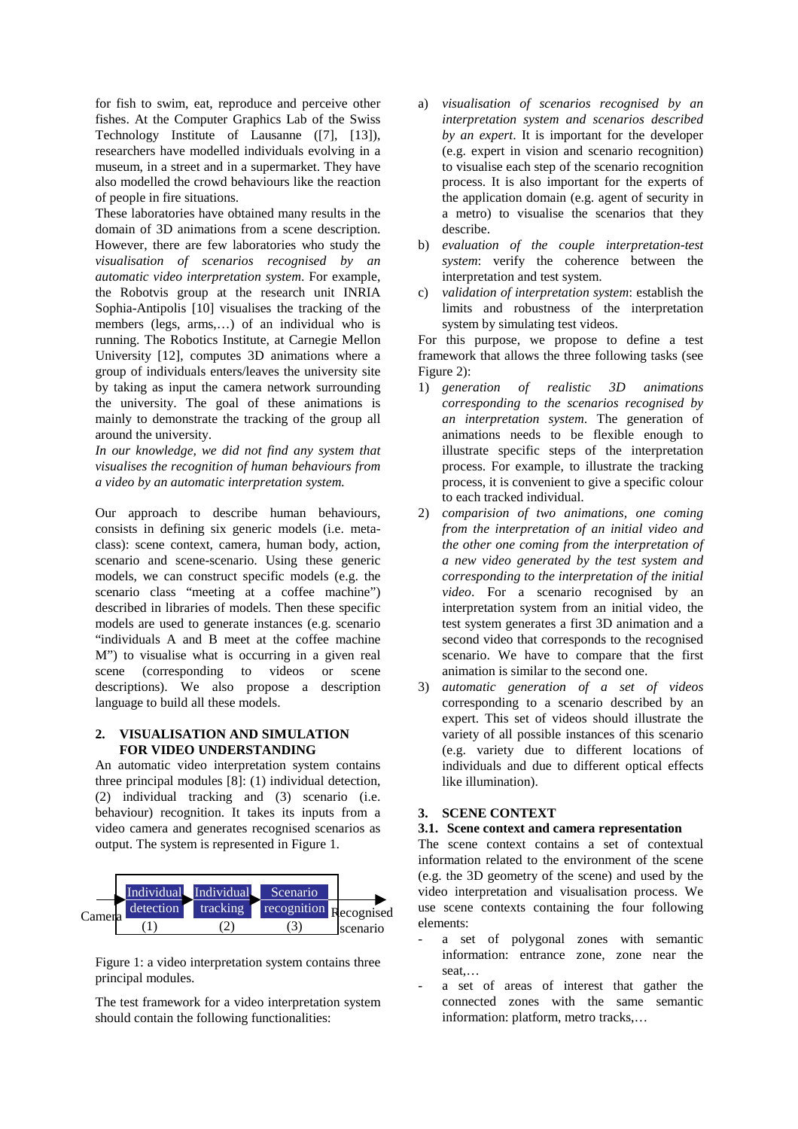for fish to swim, eat, reproduce and perceive other fishes. At the Computer Graphics Lab of the Swiss Technology Institute of Lausanne ([7], [13]), researchers have modelled individuals evolving in a museum, in a street and in a supermarket. They have also modelled the crowd behaviours like the reaction of people in fire situations.

These laboratories have obtained many results in the domain of 3D animations from a scene description. However, there are few laboratories who study the *visualisation of scenarios recognised by an automatic video interpretation system*. For example, the Robotvis group at the research unit INRIA Sophia-Antipolis [10] visualises the tracking of the members (legs, arms,…) of an individual who is running. The Robotics Institute, at Carnegie Mellon University [12], computes 3D animations where a group of individuals enters/leaves the university site by taking as input the camera network surrounding the university. The goal of these animations is mainly to demonstrate the tracking of the group all around the university.

*In our knowledge, we did not find any system that visualises the recognition of human behaviours from a video by an automatic interpretation system.*

Our approach to describe human behaviours, consists in defining six generic models (i.e. metaclass): scene context, camera, human body, action, scenario and scene-scenario. Using these generic models, we can construct specific models (e.g. the scenario class "meeting at a coffee machine") described in libraries of models. Then these specific models are used to generate instances (e.g. scenario "individuals A and B meet at the coffee machine M") to visualise what is occurring in a given real scene (corresponding to videos or scene descriptions). We also propose a description language to build all these models.

## **2. VISUALISATION AND SIMULATION FOR VIDEO UNDERSTANDING**

An automatic video interpretation system contains three principal modules [8]: (1) individual detection, (2) individual tracking and (3) scenario (i.e. behaviour) recognition. It takes its inputs from a video camera and generates recognised scenarios as output. The system is represented in Figure 1.



Figure 1: a video interpretation system contains three principal modules.

The test framework for a video interpretation system should contain the following functionalities:

- a) *visualisation of scenarios recognised by an interpretation system and scenarios described by an expert*. It is important for the developer (e.g. expert in vision and scenario recognition) to visualise each step of the scenario recognition process. It is also important for the experts of the application domain (e.g. agent of security in a metro) to visualise the scenarios that they describe.
- b) *evaluation of the couple interpretation-test system*: verify the coherence between the interpretation and test system.
- c) *validation of interpretation system*: establish the limits and robustness of the interpretation system by simulating test videos.

For this purpose, we propose to define a test framework that allows the three following tasks (see Figure 2):

- 1) *generation of realistic 3D animations corresponding to the scenarios recognised by an interpretation system*. The generation of animations needs to be flexible enough to illustrate specific steps of the interpretation process. For example, to illustrate the tracking process, it is convenient to give a specific colour to each tracked individual.
- 2) *comparision of two animations, one coming from the interpretation of an initial video and the other one coming from the interpretation of a new video generated by the test system and corresponding to the interpretation of the initial video*. For a scenario recognised by an interpretation system from an initial video, the test system generates a first 3D animation and a second video that corresponds to the recognised scenario. We have to compare that the first animation is similar to the second one.
- 3) *automatic generation of a set of videos* corresponding to a scenario described by an expert. This set of videos should illustrate the variety of all possible instances of this scenario (e.g. variety due to different locations of individuals and due to different optical effects like illumination).

## **3. SCENE CONTEXT**

#### **3.1. Scene context and camera representation**

The scene context contains a set of contextual information related to the environment of the scene (e.g. the 3D geometry of the scene) and used by the video interpretation and visualisation process. We use scene contexts containing the four following elements:

- a set of polygonal zones with semantic information: entrance zone, zone near the seat,…
- a set of areas of interest that gather the connected zones with the same semantic information: platform, metro tracks,…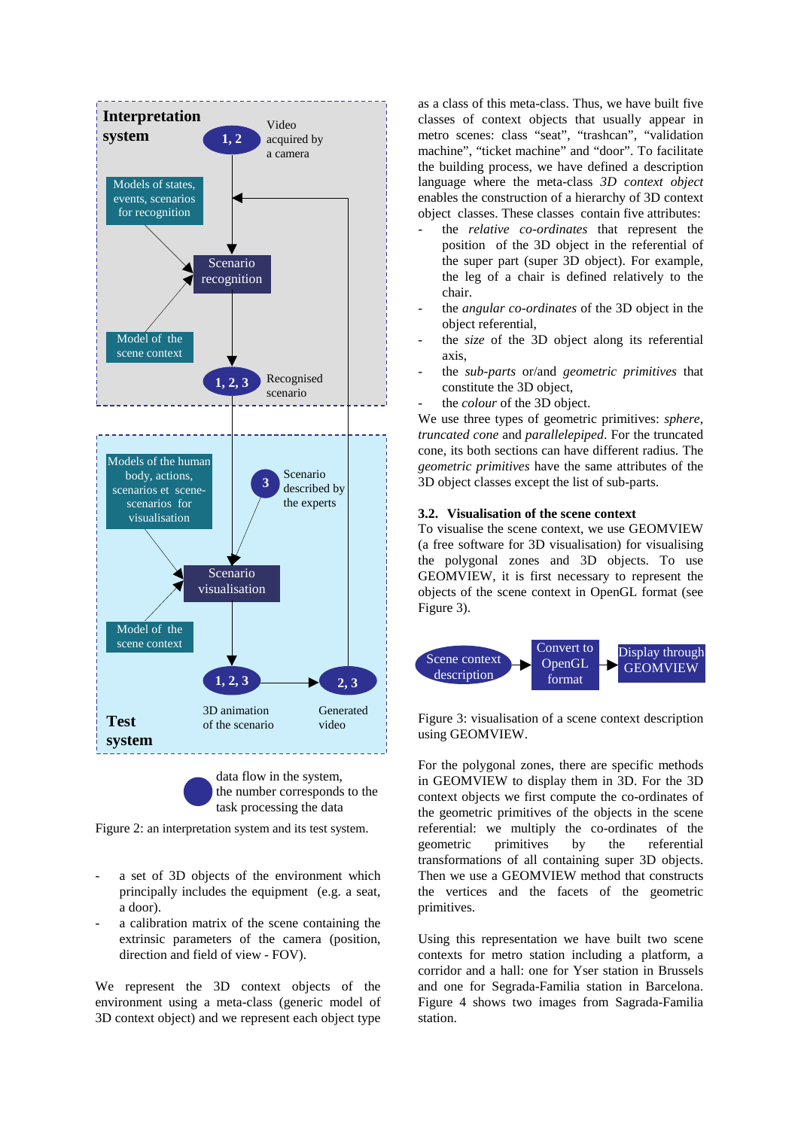

the number corresponds to the task processing the data

Figure 2: an interpretation system and its test system.

- a set of 3D objects of the environment which principally includes the equipment (e.g. a seat, a door).
- a calibration matrix of the scene containing the extrinsic parameters of the camera (position, direction and field of view - FOV).

We represent the 3D context objects of the environment using a meta-class (generic model of 3D context object) and we represent each object type as a class of this meta-class. Thus, we have built five classes of context objects that usually appear in metro scenes: class "seat", "trashcan", "validation machine", "ticket machine" and "door". To facilitate the building process, we have defined a description language where the meta-class *3D context object* enables the construction of a hierarchy of 3D context object classes. These classes contain five attributes:

- the *relative co-ordinates* that represent the position of the 3D object in the referential of the super part (super 3D object). For example, the leg of a chair is defined relatively to the chair.
- the *angular co-ordinates* of the 3D object in the object referential,
- the *size* of the 3D object along its referential axis,
- the *sub-parts* or/and *geometric primitives* that constitute the 3D object,
- the *colour* of the 3D object.

We use three types of geometric primitives: *sphere*, *truncated cone* and *parallelepiped*. For the truncated cone, its both sections can have different radius. The *geometric primitives* have the same attributes of the 3D object classes except the list of sub-parts.

## **3.2. Visualisation of the scene context**

To visualise the scene context, we use GEOMVIEW (a free software for 3D visualisation) for visualising the polygonal zones and 3D objects. To use GEOMVIEW, it is first necessary to represent the objects of the scene context in OpenGL format (see Figure 3).



Figure 3: visualisation of a scene context description using GEOMVIEW.

For the polygonal zones, there are specific methods in GEOMVIEW to display them in 3D. For the 3D context objects we first compute the co-ordinates of the geometric primitives of the objects in the scene referential: we multiply the co-ordinates of the geometric primitives by the referential transformations of all containing super 3D objects. Then we use a GEOMVIEW method that constructs the vertices and the facets of the geometric primitives.

Using this representation we have built two scene contexts for metro station including a platform, a corridor and a hall: one for Yser station in Brussels and one for Segrada-Familia station in Barcelona. Figure 4 shows two images from Sagrada-Familia station.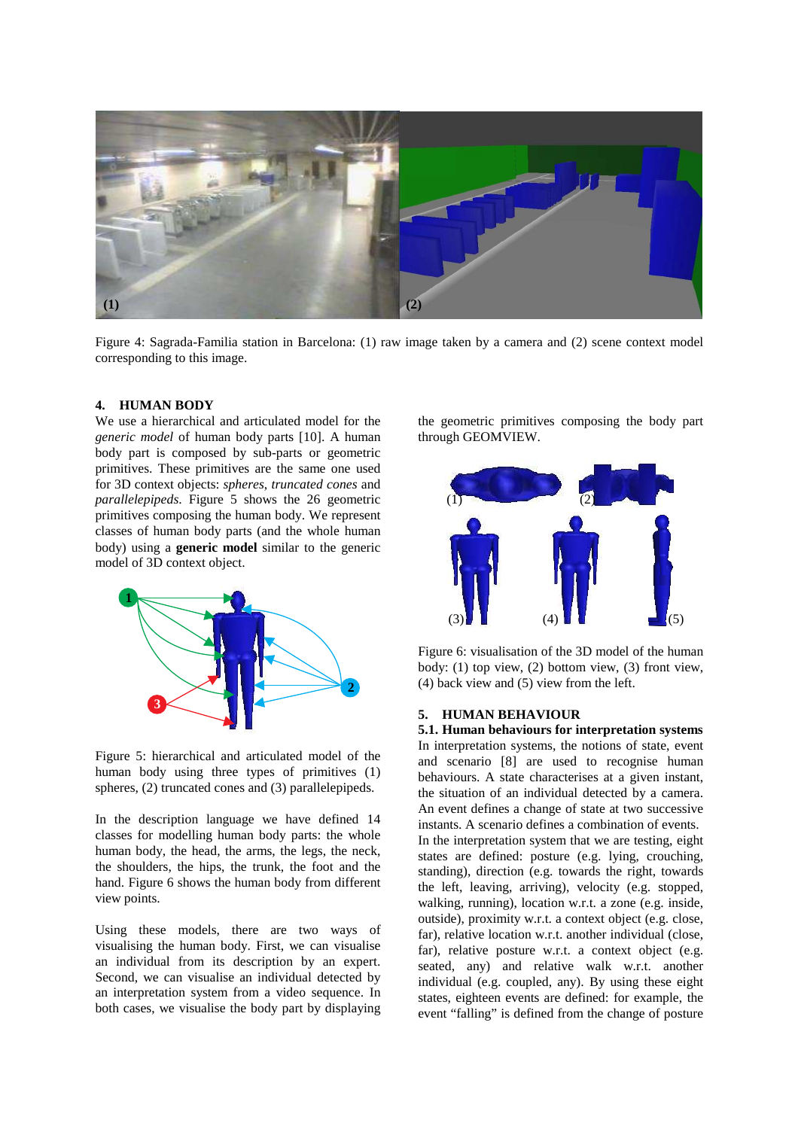

Figure 4: Sagrada-Familia station in Barcelona: (1) raw image taken by a camera and (2) scene context model corresponding to this image.

#### **4. HUMAN BODY**

We use a hierarchical and articulated model for the *generic model* of human body parts [10]. A human body part is composed by sub-parts or geometric primitives. These primitives are the same one used for 3D context objects: *spheres*, *truncated cones* and *parallelepipeds*. Figure 5 shows the 26 geometric primitives composing the human body. We represent classes of human body parts (and the whole human body) using a **generic model** similar to the generic model of 3D context object.



Figure 5: hierarchical and articulated model of the human body using three types of primitives (1) spheres, (2) truncated cones and (3) parallelepipeds.

In the description language we have defined 14 classes for modelling human body parts: the whole human body, the head, the arms, the legs, the neck, the shoulders, the hips, the trunk, the foot and the hand. Figure 6 shows the human body from different view points.

Using these models, there are two ways of visualising the human body. First, we can visualise an individual from its description by an expert. Second, we can visualise an individual detected by an interpretation system from a video sequence. In both cases, we visualise the body part by displaying the geometric primitives composing the body part through GEOMVIEW.



Figure 6: visualisation of the 3D model of the human body: (1) top view, (2) bottom view, (3) front view, (4) back view and (5) view from the left.

#### **5. HUMAN BEHAVIOUR**

**5.1. Human behaviours for interpretation systems** In interpretation systems, the notions of state, event and scenario [8] are used to recognise human behaviours. A state characterises at a given instant, the situation of an individual detected by a camera. An event defines a change of state at two successive instants. A scenario defines a combination of events. In the interpretation system that we are testing, eight states are defined: posture (e.g. lying, crouching, standing), direction (e.g. towards the right, towards the left, leaving, arriving), velocity (e.g. stopped, walking, running), location w.r.t. a zone (e.g. inside, outside), proximity w.r.t. a context object (e.g. close, far), relative location w.r.t. another individual (close, far), relative posture w.r.t. a context object (e.g. seated, any) and relative walk w.r.t. another individual (e.g. coupled, any). By using these eight states, eighteen events are defined: for example, the event "falling" is defined from the change of posture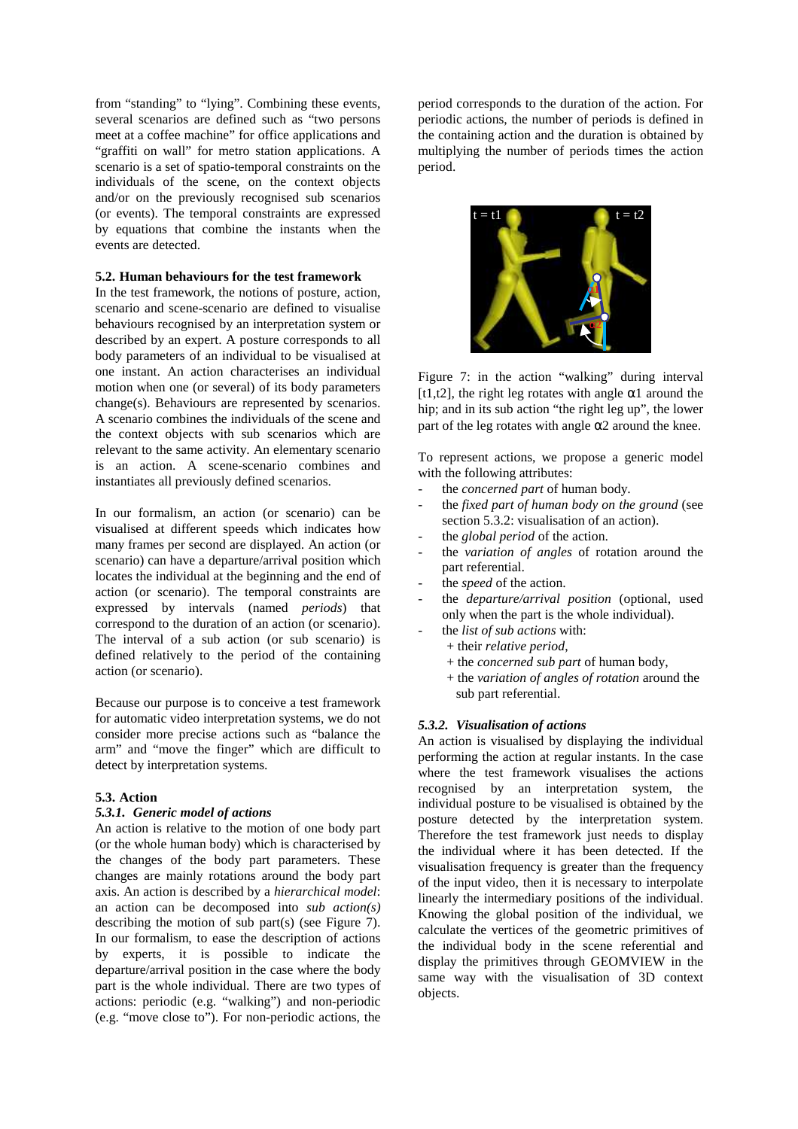from "standing" to "lying". Combining these events, several scenarios are defined such as "two persons" meet at a coffee machine" for office applications and "graffiti on wall" for metro station applications. A scenario is a set of spatio-temporal constraints on the individuals of the scene, on the context objects and/or on the previously recognised sub scenarios (or events). The temporal constraints are expressed by equations that combine the instants when the events are detected.

## **5.2. Human behaviours for the test framework**

In the test framework, the notions of posture, action, scenario and scene-scenario are defined to visualise behaviours recognised by an interpretation system or described by an expert. A posture corresponds to all body parameters of an individual to be visualised at one instant. An action characterises an individual motion when one (or several) of its body parameters change(s). Behaviours are represented by scenarios. A scenario combines the individuals of the scene and the context objects with sub scenarios which are relevant to the same activity. An elementary scenario is an action. A scene-scenario combines and instantiates all previously defined scenarios.

In our formalism, an action (or scenario) can be visualised at different speeds which indicates how many frames per second are displayed. An action (or scenario) can have a departure/arrival position which locates the individual at the beginning and the end of action (or scenario). The temporal constraints are expressed by intervals (named *periods*) that correspond to the duration of an action (or scenario). The interval of a sub action (or sub scenario) is defined relatively to the period of the containing action (or scenario).

Because our purpose is to conceive a test framework for automatic video interpretation systems, we do not consider more precise actions such as "balance the arm" and "move the finger" which are difficult to detect by interpretation systems.

#### **5.3. Action**

## *5.3.1. Generic model of actions*

An action is relative to the motion of one body part (or the whole human body) which is characterised by the changes of the body part parameters. These changes are mainly rotations around the body part axis. An action is described by a *hierarchical model*: an action can be decomposed into *sub action(s)* describing the motion of sub part(s) (see Figure 7). In our formalism, to ease the description of actions by experts, it is possible to indicate the departure/arrival position in the case where the body part is the whole individual. There are two types of actions: periodic (e.g. " walking") and non-periodic (e.g. " move close to"). For non-periodic actions, the

period corresponds to the duration of the action. For periodic actions, the number of periods is defined in the containing action and the duration is obtained by multiplying the number of periods times the action period.



Figure 7: in the action "walking" during interval [t1,t2], the right leg rotates with angle  $\alpha$ 1 around the hip; and in its sub action "the right leg up", the lower part of the leg rotates with angle  $\alpha$ 2 around the knee.

To represent actions, we propose a generic model with the following attributes:

- the *concerned part* of human body.
- the *fixed part of human body on the ground* (see section 5.3.2: visualisation of an action).
- the *global period* of the action.
- the *variation of angles* of rotation around the part referential.
- the *speed* of the action.
- the *departure/arrival position* (optional, used only when the part is the whole individual).
- the *list of sub actions* with:
	- + their *relative period*,
		- + the *concerned sub part* of human body,
		- + the *variation of angles of rotation* around the sub part referential.

#### *5.3.2. Visualisation of actions*

An action is visualised by displaying the individual performing the action at regular instants. In the case where the test framework visualises the actions recognised by an interpretation system, the individual posture to be visualised is obtained by the posture detected by the interpretation system. Therefore the test framework just needs to display the individual where it has been detected. If the visualisation frequency is greater than the frequency of the input video, then it is necessary to interpolate linearly the intermediary positions of the individual. Knowing the global position of the individual, we calculate the vertices of the geometric primitives of the individual body in the scene referential and display the primitives through GEOMVIEW in the same way with the visualisation of 3D context objects.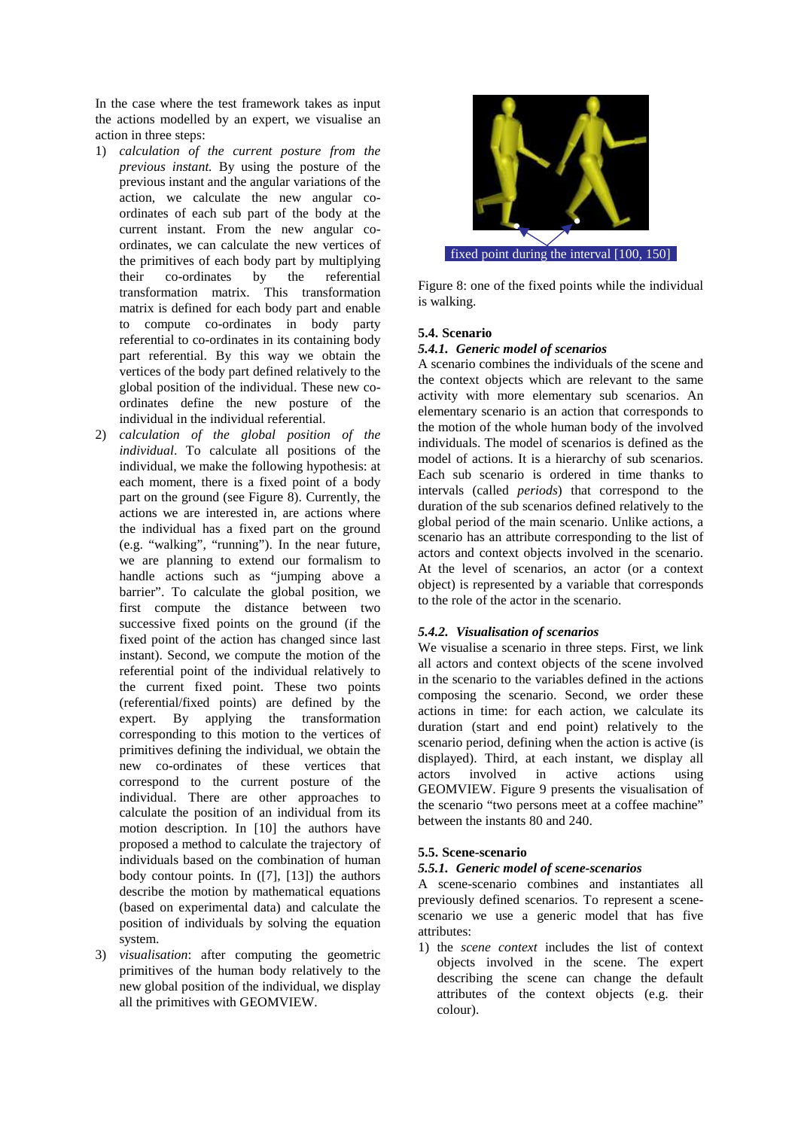In the case where the test framework takes as input the actions modelled by an expert, we visualise an action in three steps:

- 1) *calculation of the current posture from the previous instant.* By using the posture of the previous instant and the angular variations of the action, we calculate the new angular coordinates of each sub part of the body at the current instant. From the new angular coordinates, we can calculate the new vertices of the primitives of each body part by multiplying their co-ordinates by the referential transformation matrix. This transformation matrix is defined for each body part and enable to compute co-ordinates in body party referential to co-ordinates in its containing body part referential. By this way we obtain the vertices of the body part defined relatively to the global position of the individual. These new coordinates define the new posture of the individual in the individual referential.
- 2) *calculation of the global position of the individual*. To calculate all positions of the individual, we make the following hypothesis: at each moment, there is a fixed point of a body part on the ground (see Figure 8). Currently, the actions we are interested in, are actions where the individual has a fixed part on the ground (e.g. " walking", "running"). In the near future, we are planning to extend our formalism to handle actions such as " jumping above a barrier". To calculate the global position, we first compute the distance between two successive fixed points on the ground (if the fixed point of the action has changed since last instant). Second, we compute the motion of the referential point of the individual relatively to the current fixed point. These two points (referential/fixed points) are defined by the expert. By applying the transformation corresponding to this motion to the vertices of primitives defining the individual, we obtain the new co-ordinates of these vertices that correspond to the current posture of the individual. There are other approaches to calculate the position of an individual from its motion description. In [10] the authors have proposed a method to calculate the trajectory of individuals based on the combination of human body contour points. In ([7], [13]) the authors describe the motion by mathematical equations (based on experimental data) and calculate the position of individuals by solving the equation system.
- 3) *visualisation*: after computing the geometric primitives of the human body relatively to the new global position of the individual, we display all the primitives with GEOMVIEW.



Figure 8: one of the fixed points while the individual is walking.

## **5.4. Scenario**

## *5.4.1. Generic model of scenarios*

A scenario combines the individuals of the scene and the context objects which are relevant to the same activity with more elementary sub scenarios. An elementary scenario is an action that corresponds to the motion of the whole human body of the involved individuals. The model of scenarios is defined as the model of actions. It is a hierarchy of sub scenarios. Each sub scenario is ordered in time thanks to intervals (called *periods*) that correspond to the duration of the sub scenarios defined relatively to the global period of the main scenario. Unlike actions, a scenario has an attribute corresponding to the list of actors and context objects involved in the scenario. At the level of scenarios, an actor (or a context object) is represented by a variable that corresponds to the role of the actor in the scenario.

## *5.4.2. Visualisation of scenarios*

We visualise a scenario in three steps. First, we link all actors and context objects of the scene involved in the scenario to the variables defined in the actions composing the scenario. Second, we order these actions in time: for each action, we calculate its duration (start and end point) relatively to the scenario period, defining when the action is active (is displayed). Third, at each instant, we display all actors involved in active actions using GEOMVIEW. Figure 9 presents the visualisation of the scenario " two persons meet at a coffee machine" between the instants 80 and 240.

## **5.5. Scene-scenario**

#### *5.5.1. Generic model of scene-scenarios*

A scene-scenario combines and instantiates all previously defined scenarios. To represent a scenescenario we use a generic model that has five attributes:

1) the *scene context* includes the list of context objects involved in the scene. The expert describing the scene can change the default attributes of the context objects (e.g. their colour).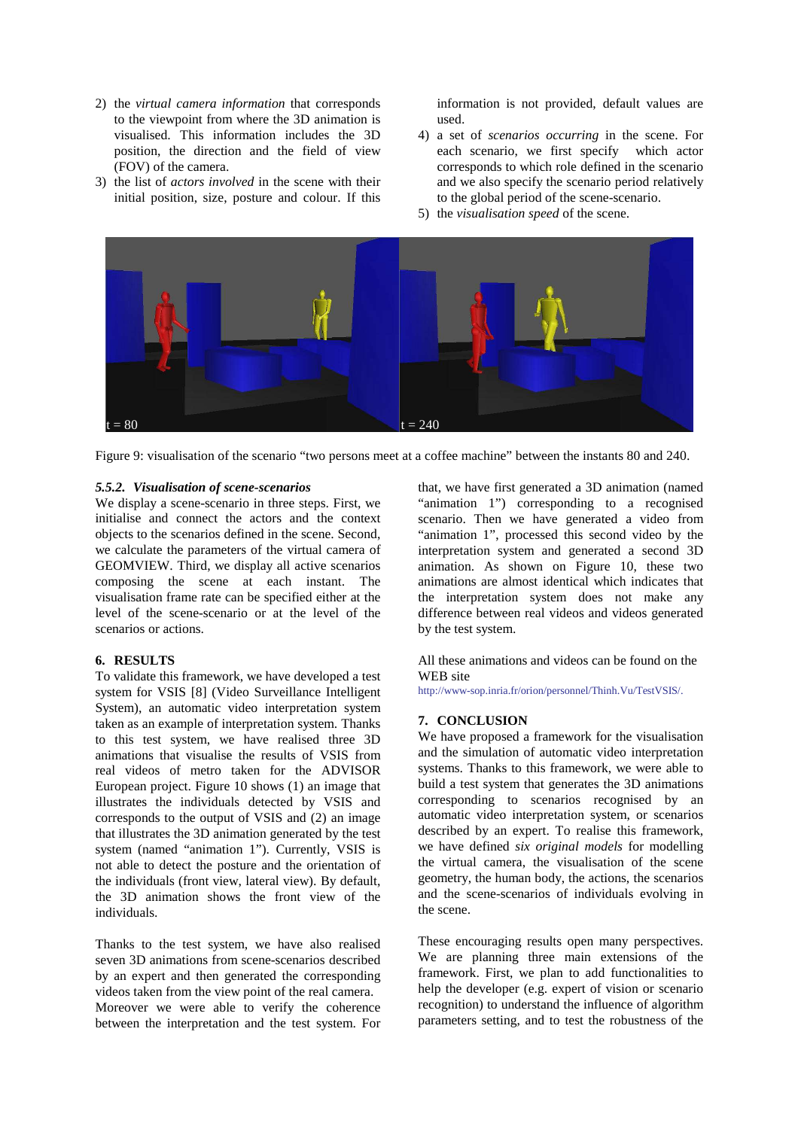- 2) the *virtual camera information* that corresponds to the viewpoint from where the 3D animation is visualised. This information includes the 3D position, the direction and the field of view (FOV) of the camera.
- 3) the list of *actors involved* in the scene with their initial position, size, posture and colour. If this

information is not provided, default values are used.

- 4) a set of *scenarios occurring* in the scene. For each scenario, we first specify which actor corresponds to which role defined in the scenario and we also specify the scenario period relatively to the global period of the scene-scenario.
- 5) the *visualisation speed* of the scene.



Figure 9: visualisation of the scenario "two persons meet at a coffee machine" between the instants 80 and 240.

#### *5.5.2. Visualisation of scene-scenarios*

We display a scene-scenario in three steps. First, we initialise and connect the actors and the context objects to the scenarios defined in the scene. Second, we calculate the parameters of the virtual camera of GEOMVIEW. Third, we display all active scenarios composing the scene at each instant. The visualisation frame rate can be specified either at the level of the scene-scenario or at the level of the scenarios or actions.

#### **6. RESULTS**

To validate this framework, we have developed a test system for VSIS [8] (Video Surveillance Intelligent System), an automatic video interpretation system taken as an example of interpretation system. Thanks to this test system, we have realised three 3D animations that visualise the results of VSIS from real videos of metro taken for the ADVISOR European project. Figure 10 shows (1) an image that illustrates the individuals detected by VSIS and corresponds to the output of VSIS and (2) an image that illustrates the 3D animation generated by the test system (named "animation 1"). Currently, VSIS is not able to detect the posture and the orientation of the individuals (front view, lateral view). By default, the 3D animation shows the front view of the individuals.

Thanks to the test system, we have also realised seven 3D animations from scene-scenarios described by an expert and then generated the corresponding videos taken from the view point of the real camera. Moreover we were able to verify the coherence between the interpretation and the test system. For that, we have first generated a 3D animation (named " animation 1") corresponding to a recognised scenario. Then we have generated a video from " animation 1", processed this second video by the interpretation system and generated a second 3D animation. As shown on Figure 10, these two animations are almost identical which indicates that the interpretation system does not make any difference between real videos and videos generated by the test system.

All these animations and videos can be found on the WEB site

http://www-sop.inria.fr/orion/personnel/Thinh.Vu/TestVSIS/.

#### **7. CONCLUSION**

We have proposed a framework for the visualisation and the simulation of automatic video interpretation systems. Thanks to this framework, we were able to build a test system that generates the 3D animations corresponding to scenarios recognised by an automatic video interpretation system, or scenarios described by an expert. To realise this framework, we have defined *six original models* for modelling the virtual camera, the visualisation of the scene geometry, the human body, the actions, the scenarios and the scene-scenarios of individuals evolving in the scene.

These encouraging results open many perspectives. We are planning three main extensions of the framework. First, we plan to add functionalities to help the developer (e.g. expert of vision or scenario recognition) to understand the influence of algorithm parameters setting, and to test the robustness of the